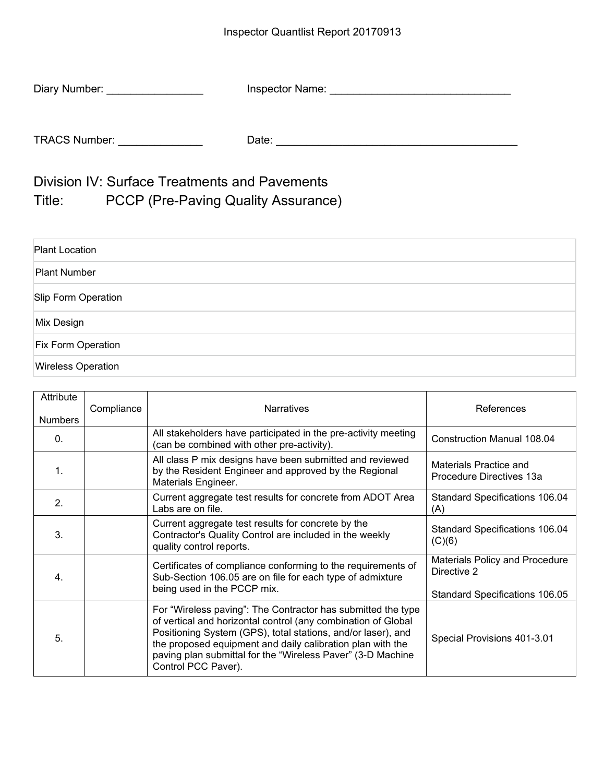| Diary Number:        | Inspector Name: |
|----------------------|-----------------|
|                      |                 |
| <b>TRACS Number:</b> | Date:           |

Division IV: Surface Treatments and Pavements Title: PCCP (Pre-Paving Quality Assurance)

| <b>Plant Location</b>     |  |
|---------------------------|--|
| Plant Number              |  |
| Slip Form Operation       |  |
| Mix Design                |  |
| <b>Fix Form Operation</b> |  |
| <b>Wireless Operation</b> |  |

| Attribute<br><b>Numbers</b> | Compliance | <b>Narratives</b>                                                                                                                                                                                                                                                                                                                                 | References                                           |
|-----------------------------|------------|---------------------------------------------------------------------------------------------------------------------------------------------------------------------------------------------------------------------------------------------------------------------------------------------------------------------------------------------------|------------------------------------------------------|
| $\Omega$ .                  |            | All stakeholders have participated in the pre-activity meeting<br>(can be combined with other pre-activity).                                                                                                                                                                                                                                      | Construction Manual 108.04                           |
| $\mathbf 1$                 |            | All class P mix designs have been submitted and reviewed<br>by the Resident Engineer and approved by the Regional<br>Materials Engineer.                                                                                                                                                                                                          | Materials Practice and<br>Procedure Directives 13a   |
| 2.                          |            | Current aggregate test results for concrete from ADOT Area<br>Labs are on file.                                                                                                                                                                                                                                                                   | <b>Standard Specifications 106.04</b><br>(A)         |
| 3.                          |            | Current aggregate test results for concrete by the<br>Contractor's Quality Control are included in the weekly<br>quality control reports.                                                                                                                                                                                                         | <b>Standard Specifications 106.04</b><br>(C)(6)      |
| 4.                          |            | Certificates of compliance conforming to the requirements of<br>Sub-Section 106.05 are on file for each type of admixture<br>being used in the PCCP mix.                                                                                                                                                                                          | <b>Materials Policy and Procedure</b><br>Directive 2 |
|                             |            | Standard Specifications 106.05                                                                                                                                                                                                                                                                                                                    |                                                      |
| 5.                          |            | For "Wireless paving": The Contractor has submitted the type<br>of vertical and horizontal control (any combination of Global<br>Positioning System (GPS), total stations, and/or laser), and<br>the proposed equipment and daily calibration plan with the<br>paving plan submittal for the "Wireless Paver" (3-D Machine<br>Control PCC Paver). | Special Provisions 401-3.01                          |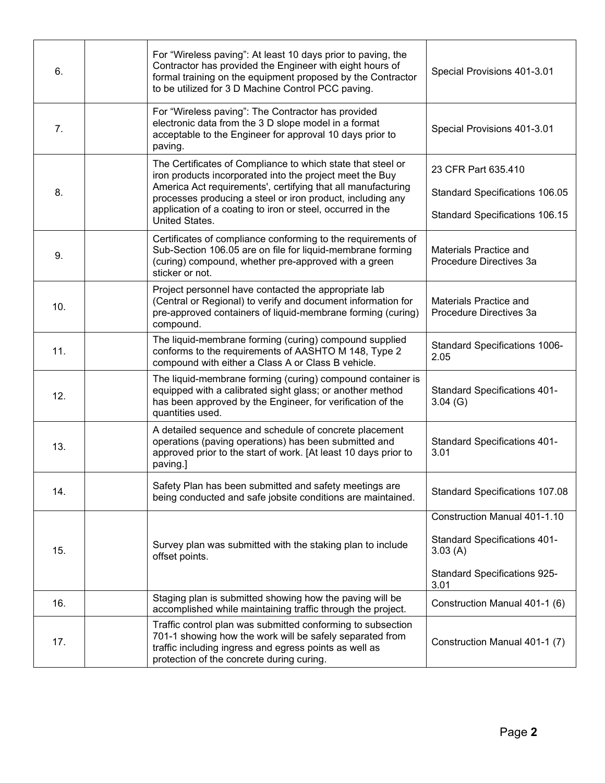| 6.  |                 | For "Wireless paving": At least 10 days prior to paving, the<br>Contractor has provided the Engineer with eight hours of<br>formal training on the equipment proposed by the Contractor<br>to be utilized for 3 D Machine Control PCC paving.                                                                                         | Special Provisions 401-3.01                       |
|-----|-----------------|---------------------------------------------------------------------------------------------------------------------------------------------------------------------------------------------------------------------------------------------------------------------------------------------------------------------------------------|---------------------------------------------------|
| 7.  | paving.         | For "Wireless paving": The Contractor has provided<br>electronic data from the 3 D slope model in a format<br>acceptable to the Engineer for approval 10 days prior to                                                                                                                                                                | Special Provisions 401-3.01                       |
| 8.  |                 | The Certificates of Compliance to which state that steel or<br>iron products incorporated into the project meet the Buy<br>America Act requirements', certifying that all manufacturing<br>processes producing a steel or iron product, including any<br>application of a coating to iron or steel, occurred in the<br>United States. | 23 CFR Part 635.410                               |
|     |                 |                                                                                                                                                                                                                                                                                                                                       | <b>Standard Specifications 106.05</b>             |
|     |                 |                                                                                                                                                                                                                                                                                                                                       | Standard Specifications 106.15                    |
| 9.  | sticker or not. | Certificates of compliance conforming to the requirements of<br>Sub-Section 106.05 are on file for liquid-membrane forming<br>(curing) compound, whether pre-approved with a green                                                                                                                                                    | Materials Practice and<br>Procedure Directives 3a |
| 10. | compound.       | Project personnel have contacted the appropriate lab<br>(Central or Regional) to verify and document information for<br>pre-approved containers of liquid-membrane forming (curing)                                                                                                                                                   | Materials Practice and<br>Procedure Directives 3a |
| 11. |                 | The liquid-membrane forming (curing) compound supplied<br>conforms to the requirements of AASHTO M 148, Type 2<br>compound with either a Class A or Class B vehicle.                                                                                                                                                                  | Standard Specifications 1006-<br>2.05             |
| 12. |                 | The liquid-membrane forming (curing) compound container is<br>equipped with a calibrated sight glass; or another method<br>has been approved by the Engineer, for verification of the<br>quantities used.                                                                                                                             | <b>Standard Specifications 401-</b><br>3.04(G)    |
| 13. | paving.]        | A detailed sequence and schedule of concrete placement<br>operations (paving operations) has been submitted and<br>approved prior to the start of work. [At least 10 days prior to                                                                                                                                                    | <b>Standard Specifications 401-</b><br>3.01       |
| 14. |                 | Safety Plan has been submitted and safety meetings are<br>being conducted and safe jobsite conditions are maintained.                                                                                                                                                                                                                 | Standard Specifications 107.08                    |
|     |                 |                                                                                                                                                                                                                                                                                                                                       | <b>Construction Manual 401-1.10</b>               |
| 15. | offset points.  | Survey plan was submitted with the staking plan to include                                                                                                                                                                                                                                                                            | <b>Standard Specifications 401-</b><br>3.03(A)    |
|     |                 |                                                                                                                                                                                                                                                                                                                                       | <b>Standard Specifications 925-</b><br>3.01       |
| 16. |                 | Staging plan is submitted showing how the paving will be<br>accomplished while maintaining traffic through the project.                                                                                                                                                                                                               | Construction Manual 401-1 (6)                     |
| 17. |                 | Traffic control plan was submitted conforming to subsection<br>701-1 showing how the work will be safely separated from<br>traffic including ingress and egress points as well as<br>protection of the concrete during curing.                                                                                                        | Construction Manual 401-1 (7)                     |